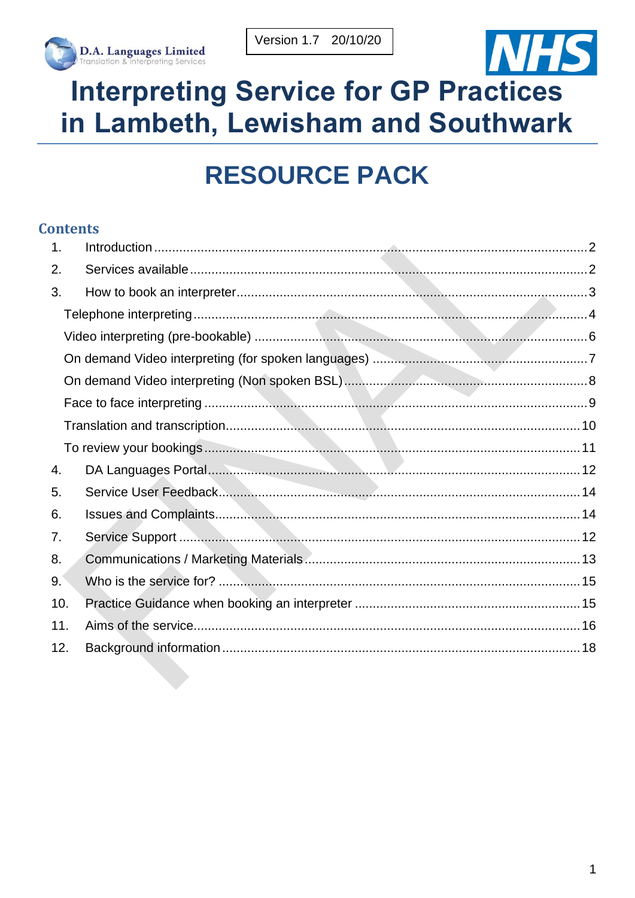



# **Interpreting Service for GP Practices** in Lambeth, Lewisham and Southwark

# **RESOURCE PACK**

#### **Contents**

| $\mathbf 1$ . |  |
|---------------|--|
| 2.            |  |
| 3.            |  |
|               |  |
|               |  |
|               |  |
|               |  |
|               |  |
|               |  |
|               |  |
| 4.            |  |
| 5.            |  |
| 6.            |  |
| 7.            |  |
| 8.            |  |
| 9.            |  |
| 10.           |  |
| 11.           |  |
| 12.           |  |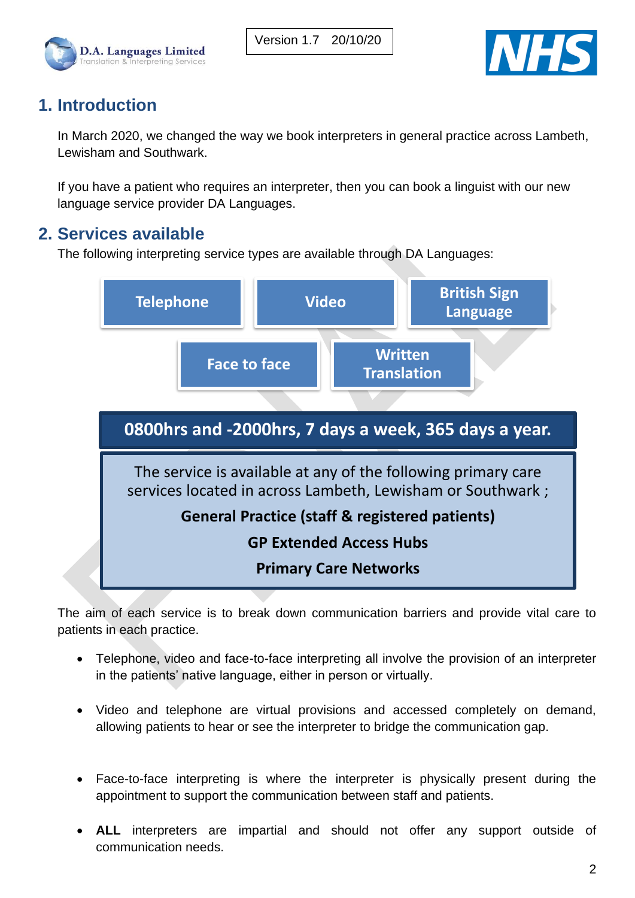



## <span id="page-1-0"></span>**1. Introduction**

In March 2020, we changed the way we book interpreters in general practice across Lambeth, Lewisham and Southwark.

If you have a patient who requires an interpreter, then you can book a linguist with our new language service provider DA Languages.

## <span id="page-1-1"></span>**2. Services available**

The following interpreting service types are available through DA Languages:



The aim of each service is to break down communication barriers and provide vital care to patients in each practice.

- Telephone, video and face-to-face interpreting all involve the provision of an interpreter in the patients' native language, either in person or virtually.
- Video and telephone are virtual provisions and accessed completely on demand, allowing patients to hear or see the interpreter to bridge the communication gap.
- Face-to-face interpreting is where the interpreter is physically present during the appointment to support the communication between staff and patients.
- **ALL** interpreters are impartial and should not offer any support outside of communication needs.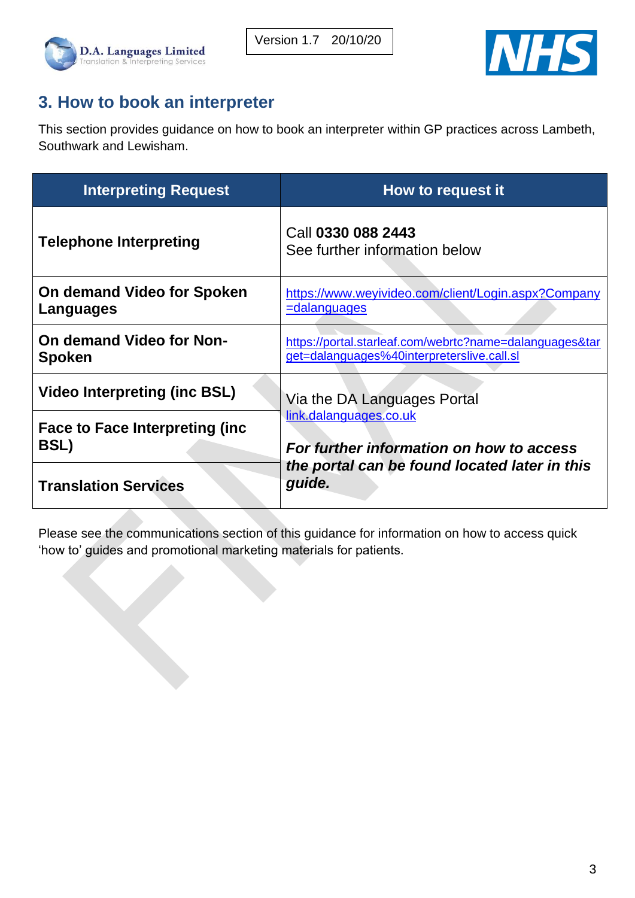



## <span id="page-2-0"></span>**3. How to book an interpreter**

This section provides guidance on how to book an interpreter within GP practices across Lambeth, Southwark and Lewisham.

| <b>Interpreting Request</b>                      | How to request it                                                                                     |  |
|--------------------------------------------------|-------------------------------------------------------------------------------------------------------|--|
| <b>Telephone Interpreting</b>                    | Call 0330 088 2443<br>See further information below                                                   |  |
| On demand Video for Spoken<br>Languages          | https://www.weyivideo.com/client/Login.aspx?Company<br><u>=dalanguages</u>                            |  |
| <b>On demand Video for Non-</b><br><b>Spoken</b> | https://portal.starleaf.com/webrtc?name=dalanguages&tar<br>get=dalanguages%40interpreterslive.call.sl |  |
| <b>Video Interpreting (inc BSL)</b>              | Via the DA Languages Portal                                                                           |  |
| Face to Face Interpreting (inc.<br><b>BSL)</b>   | link.dalanguages.co.uk<br>For further information on how to access                                    |  |
| <b>Translation Services</b>                      | the portal can be found located later in this<br>guide.                                               |  |

Please see the communications section of this guidance for information on how to access quick 'how to' guides and promotional marketing materials for patients.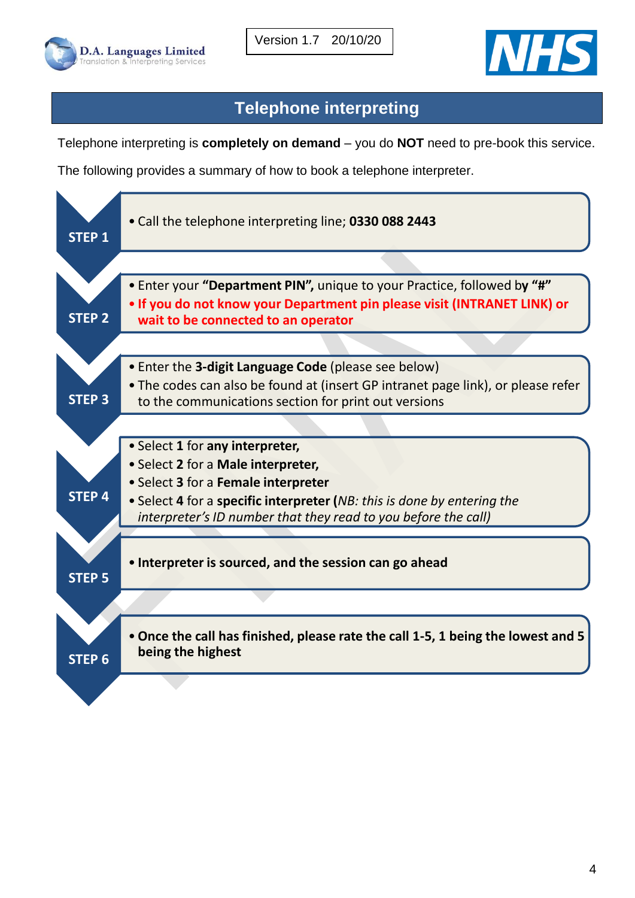



## **Telephone interpreting**

<span id="page-3-0"></span>Telephone interpreting is **completely on demand** – you do **NOT** need to pre-book this service.

The following provides a summary of how to book a telephone interpreter.

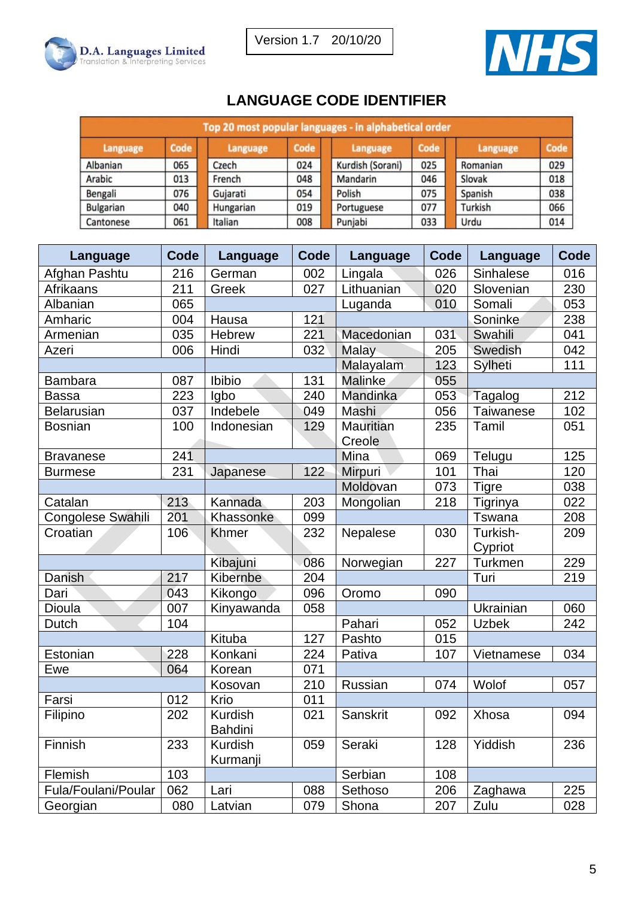

## **LANGUAGE CODE IDENTIFIER**

| Top 20 most popular languages - in alphabetical order |      |           |      |                  |      |          |      |
|-------------------------------------------------------|------|-----------|------|------------------|------|----------|------|
| Language                                              | Code | Language  | Code | Language         | Code | Language | Code |
| Albanian                                              | 065  | Czech     | 024  | Kurdish (Sorani) | 025  | Romanian | 029  |
| Arabic                                                | 013  | French    | 048  | Mandarin         | 046  | Slovak   | 018  |
| Bengali                                               | 076  | Gujarati  | 054  | Polish           | 075  | Spanish  | 038  |
| <b>Bulgarian</b>                                      | 040  | Hungarian | 019  | Portuguese       | 077  | Turkish  | 066  |
| Cantonese                                             | 061  | Italian   | 008  | Punjabi          | 033  | Urdu     | 014  |

| Language                 | Code | Language       | Code | Language         | Code | Language         | Code |
|--------------------------|------|----------------|------|------------------|------|------------------|------|
| Afghan Pashtu            | 216  | German         | 002  | Lingala          | 026  | Sinhalese        | 016  |
| Afrikaans                | 211  | Greek          | 027  | Lithuanian       | 020  | Slovenian        | 230  |
| Albanian                 | 065  |                |      | Luganda          | 010  | Somali           | 053  |
| Amharic                  | 004  | Hausa          | 121  |                  |      | Soninke          | 238  |
| Armenian                 | 035  | Hebrew         | 221  | Macedonian       | 031  | Swahili          | 041  |
| Azeri                    | 006  | Hindi          | 032  | Malay            | 205  | Swedish          | 042  |
|                          |      |                |      | Malayalam        | 123  | Sylheti          | 111  |
| <b>Bambara</b>           | 087  | Ibibio         | 131  | <b>Malinke</b>   | 055  |                  |      |
| <b>Bassa</b>             | 223  | Igbo           | 240  | Mandinka         | 053  | Tagalog          | 212  |
| <b>Belarusian</b>        | 037  | Indebele       | 049  | Mashi            | 056  | <b>Taiwanese</b> | 102  |
| <b>Bosnian</b>           | 100  | Indonesian     | 129  | <b>Mauritian</b> | 235  | Tamil            | 051  |
|                          |      |                |      | Creole           |      |                  |      |
| <b>Bravanese</b>         | 241  |                |      | Mina             | 069  | Telugu           | 125  |
| <b>Burmese</b>           | 231  | Japanese       | 122  | Mirpuri          | 101  | Thai             | 120  |
|                          |      |                |      | Moldovan         | 073  | <b>Tigre</b>     | 038  |
| Catalan                  | 213  | Kannada        | 203  | Mongolian        | 218  | Tigrinya         | 022  |
| <b>Congolese Swahili</b> | 201  | Khassonke      | 099  |                  |      | Tswana           | 208  |
| Croatian                 | 106  | Khmer          | 232  | Nepalese         | 030  | Turkish-         | 209  |
|                          |      |                |      |                  |      | Cypriot          |      |
|                          |      | Kibajuni       | 086  | Norwegian        | 227  | <b>Turkmen</b>   | 229  |
| Danish                   | 217  | Kibernbe       | 204  |                  |      | Turi             | 219  |
| Dari                     | 043  | Kikongo        | 096  | Oromo            | 090  |                  |      |
| Dioula                   | 007  | Kinyawanda     | 058  |                  |      | Ukrainian        | 060  |
| Dutch                    | 104  |                |      | Pahari           | 052  | <b>Uzbek</b>     | 242  |
|                          |      | Kituba         | 127  | Pashto           | 015  |                  |      |
| Estonian                 | 228  | Konkani        | 224  | Pativa           | 107  | Vietnamese       | 034  |
| Ewe                      | 064  | Korean         | 071  |                  |      |                  |      |
|                          |      | Kosovan        | 210  | Russian          | 074  | Wolof            | 057  |
| Farsi                    | 012  | Krio           | 011  |                  |      |                  |      |
| Filipino                 | 202  | <b>Kurdish</b> | 021  | Sanskrit         | 092  | Xhosa            | 094  |
|                          |      | <b>Bahdini</b> |      |                  |      |                  |      |
| Finnish                  | 233  | Kurdish        | 059  | Seraki           | 128  | Yiddish          | 236  |
|                          |      | Kurmanji       |      |                  |      |                  |      |
| 103<br>Flemish           |      |                |      | Serbian          | 108  |                  |      |
| Fula/Foulani/Poular      | 062  | Lari           | 088  | Sethoso          | 206  | Zaghawa          | 225  |
| Georgian                 | 080  | Latvian        | 079  | Shona            | 207  | Zulu             | 028  |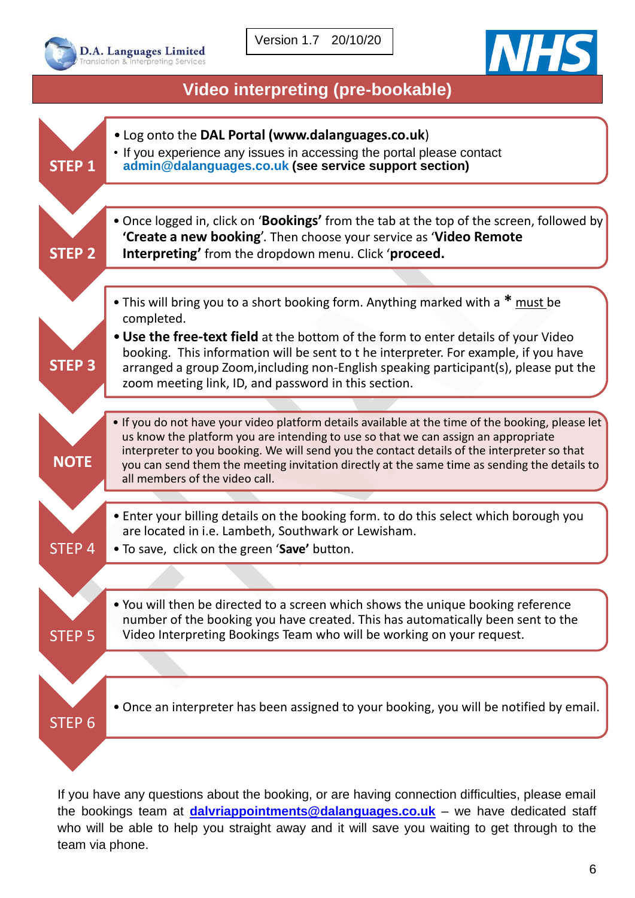



## **Video interpreting (pre-bookable)**

L

<span id="page-5-0"></span>

If you have any questions about the booking, or are having connection difficulties, please email the bookings team at **[dalvriappointments@dalanguages.co.uk](mailto:dalvriappointments@dalanguages.co.uk)** – we have dedicated staff who will be able to help you straight away and it will save you waiting to get through to the team via phone.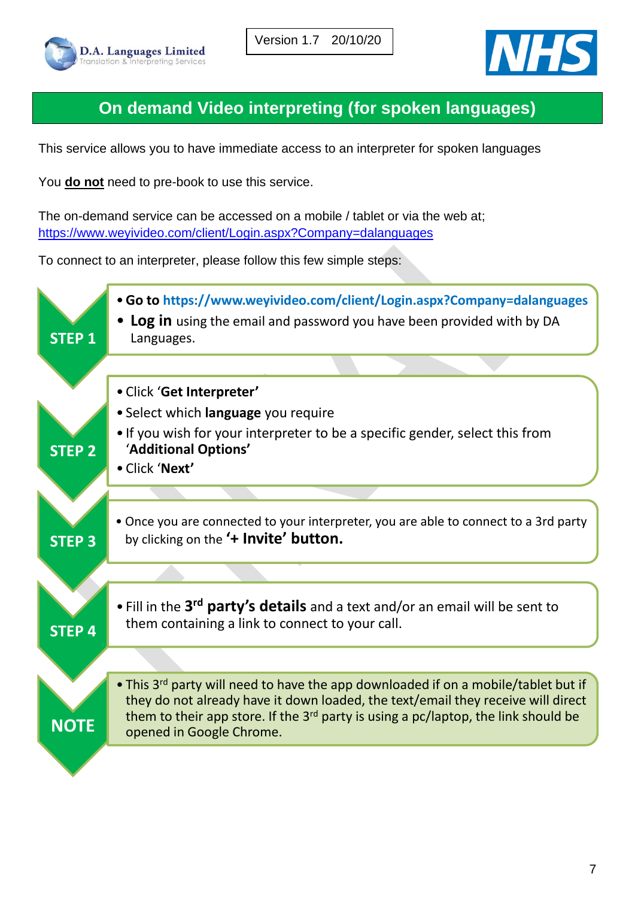



# **On demand Video interpreting (for spoken languages)**

<span id="page-6-0"></span>This service allows you to have immediate access to an interpreter for spoken languages

You **do not** need to pre-book to use this service.

The on-demand service can be accessed on a mobile / tablet or via the web at; <https://www.weyivideo.com/client/Login.aspx?Company=dalanguages>

To connect to an interpreter, please follow this few simple steps:

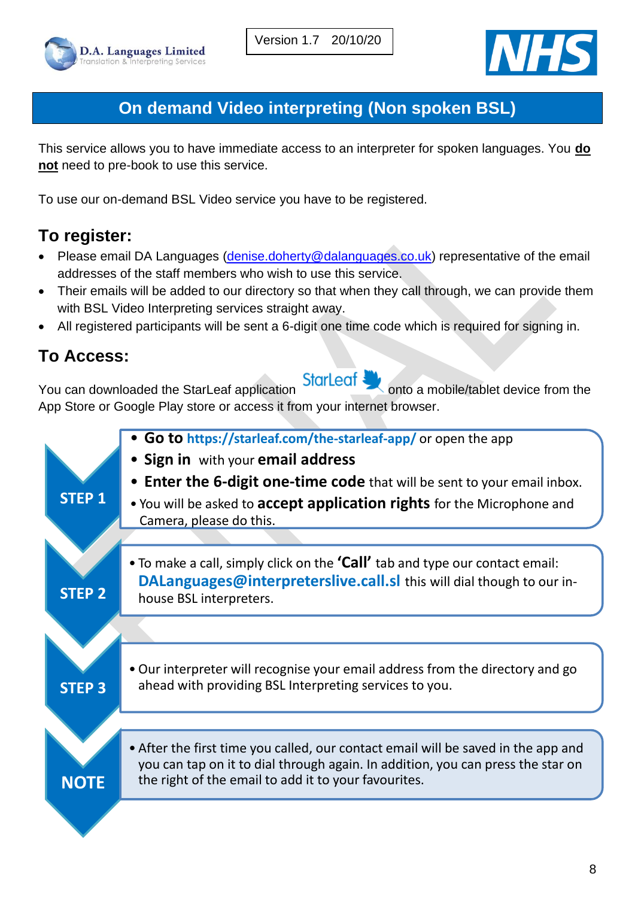



# **On demand Video interpreting (Non spoken BSL)**

<span id="page-7-0"></span>This service allows you to have immediate access to an interpreter for spoken languages. You **do not** need to pre-book to use this service.

To use our on-demand BSL Video service you have to be registered.

# **To register:**

- Please email DA Languages [\(denise.doherty@dalanguages.co.uk\)](mailto:denise.doherty@dalanguages.co.uk) representative of the email addresses of the staff members who wish to use this service.
- Their emails will be added to our directory so that when they call through, we can provide them with BSL Video Interpreting services straight away.
- All registered participants will be sent a 6-digit one time code which is required for signing in.

# **To Access:**

You can downloaded the StarLeaf application **StarLeaf** onto a mobile/tablet device from the App Store or Google Play store or access it from your internet browser.

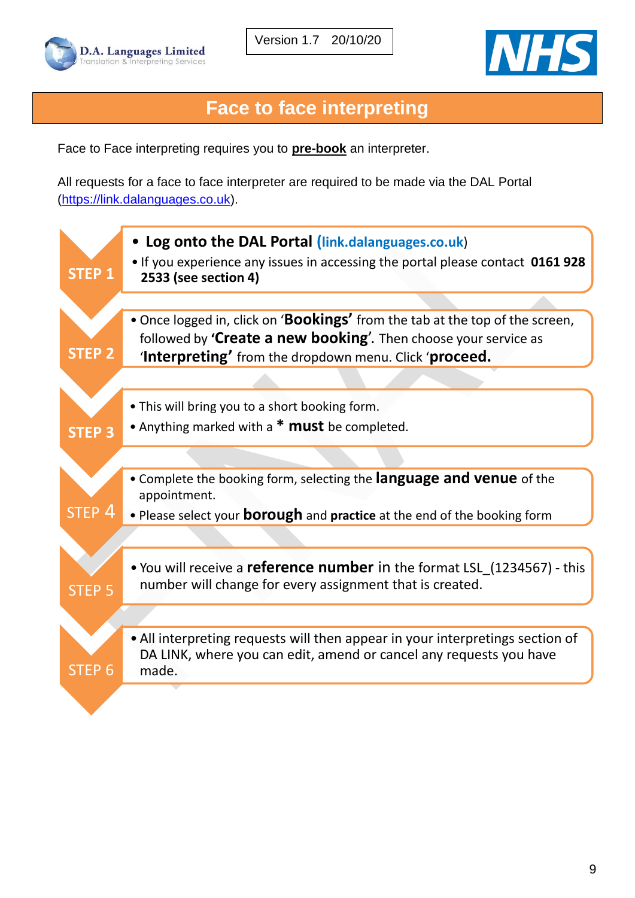



# **Face to face interpreting**

<span id="page-8-0"></span>Face to Face interpreting requires you to **pre-book** an interpreter.

All requests for a face to face interpreter are required to be made via the DAL Portal [\(https://link.dalanguages.co.uk\)](https://link.dalanguages.co.uk/).

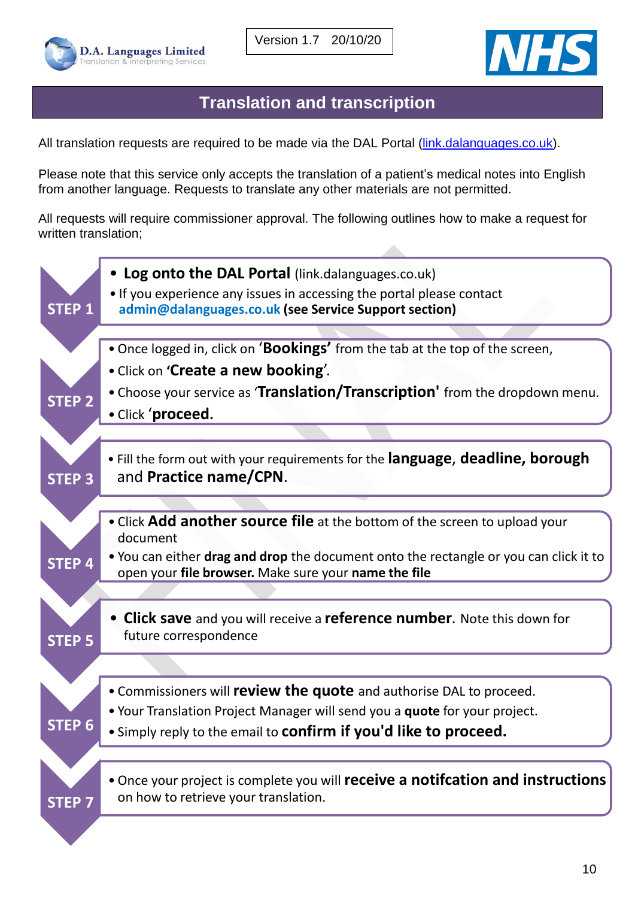



### **Translation and transcription**

<span id="page-9-0"></span>All translation requests are required to be made via the DAL Portal [\(link.dalanguages.co.uk\)](http://www.dalanguages.co.uk/).

Please note that this service only accepts the translation of a patient's medical notes into English from another language. Requests to translate any other materials are not permitted.

All requests will require commissioner approval. The following outlines how to make a request for written translation;

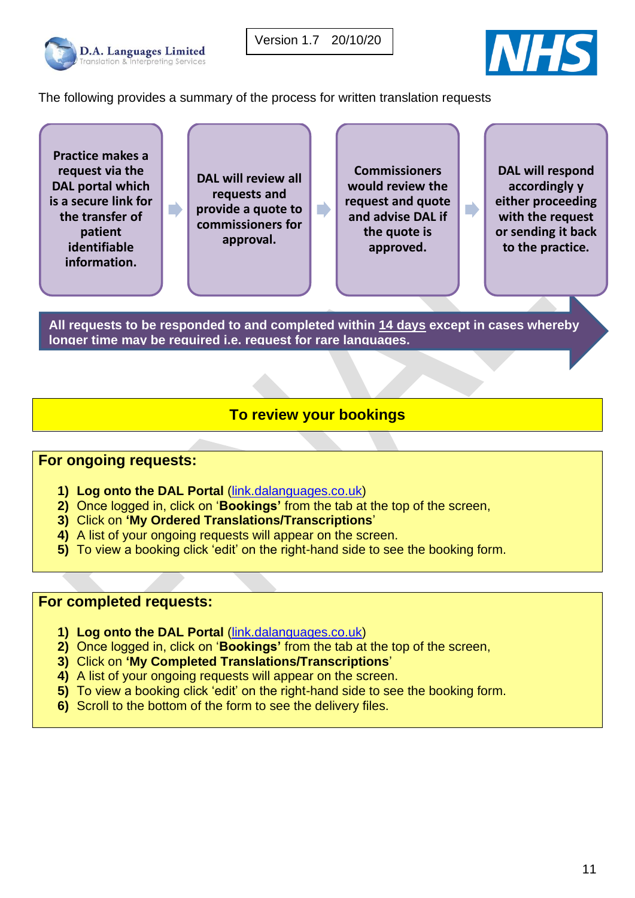



The following provides a summary of the process for written translation requests

**Practice makes a request via the DAL portal which is a secure link for the transfer of patient identifiable information.** 

D

**DAL will review all requests and provide a quote to commissioners for approval.** 

**Commissioners would review the request and quote and advise DAL if the quote is approved.** 

 $\blacksquare$ 

**DAL will respond accordingly y either proceeding with the request or sending it back to the practice.** 

**All requests to be responded to and completed within 14 days except in cases whereby longer time may be required i.e. request for rare languages.**

#### **To review your bookings**

#### <span id="page-10-0"></span>**For ongoing requests:**

- **1) Log onto the DAL Portal** [\(link.dalanguages.co.uk\)](http://www.dalanguages.co.uk/)
- **2)** Once logged in, click on '**Bookings'** from the tab at the top of the screen,
- **3)** Click on **'My Ordered Translations/Transcriptions**'
- **4)** A list of your ongoing requests will appear on the screen.
- **5)** To view a booking click 'edit' on the right-hand side to see the booking form.

#### **For completed requests:**

- **1) Log onto the DAL Portal** [\(link.dalanguages.co.uk\)](http://www.dalanguages.co.uk/)
- **2)** Once logged in, click on '**Bookings'** from the tab at the top of the screen,
- **3)** Click on **'My Completed Translations/Transcriptions**'
- **4)** A list of your ongoing requests will appear on the screen.
- **5)** To view a booking click 'edit' on the right-hand side to see the booking form.
- **6)** Scroll to the bottom of the form to see the delivery files.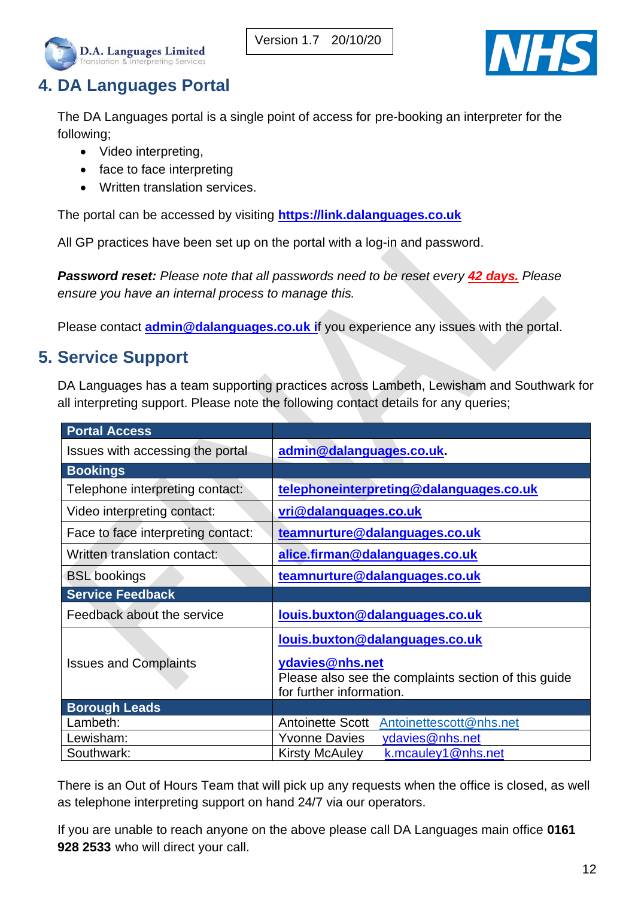



# <span id="page-11-0"></span>**4. DA Languages Portal**

The DA Languages portal is a single point of access for pre-booking an interpreter for the following;

- Video interpreting,
- face to face interpreting
- Written translation services.

The portal can be accessed by visiting **[https://link.dalanguages.co.uk](https://link.dalanguages.co.uk/)** 

All GP practices have been set up on the portal with a log-in and password.

*Password reset: Please note that all passwords need to be reset every 42 days. Please ensure you have an internal process to manage this.*

Please contact **[admin@dalanguages.co.uk](mailto:admin@dalanguages.co.uk) i**f you experience any issues with the portal.

## <span id="page-11-1"></span>**5. Service Support**

DA Languages has a team supporting practices across Lambeth, Lewisham and Southwark for all interpreting support. Please note the following contact details for any queries;

| <b>Portal Access</b>               |                                                                                                     |
|------------------------------------|-----------------------------------------------------------------------------------------------------|
| Issues with accessing the portal   | admin@dalanguages.co.uk.                                                                            |
| <b>Bookings</b>                    |                                                                                                     |
| Telephone interpreting contact:    | telephoneinterpreting@dalanguages.co.uk                                                             |
| Video interpreting contact:        | vri@dalanguages.co.uk                                                                               |
| Face to face interpreting contact: | teamnurture@dalanguages.co.uk                                                                       |
| Written translation contact:       | alice.firman@dalanguages.co.uk                                                                      |
| <b>BSL</b> bookings                | teamnurture@dalanguages.co.uk                                                                       |
| <b>Service Feedback</b>            |                                                                                                     |
| Feedback about the service         | louis.buxton@dalanguages.co.uk                                                                      |
|                                    | louis.buxton@dalanguages.co.uk                                                                      |
| <b>Issues and Complaints</b>       | ydavies@nhs.net<br>Please also see the complaints section of this guide<br>for further information. |
| <b>Borough Leads</b>               |                                                                                                     |
| Lambeth:                           | Antoinettescott@nhs.net<br><b>Antoinette Scott</b>                                                  |
| Lewisham:                          | <b>Yvonne Davies</b><br>ydavies@nhs.net                                                             |
| Southwark:                         | <b>Kirsty McAuley</b><br>k.mcauley1@nhs.net                                                         |

There is an Out of Hours Team that will pick up any requests when the office is closed, as well as telephone interpreting support on hand 24/7 via our operators.

If you are unable to reach anyone on the above please call DA Languages main office **0161 928 2533** who will direct your call.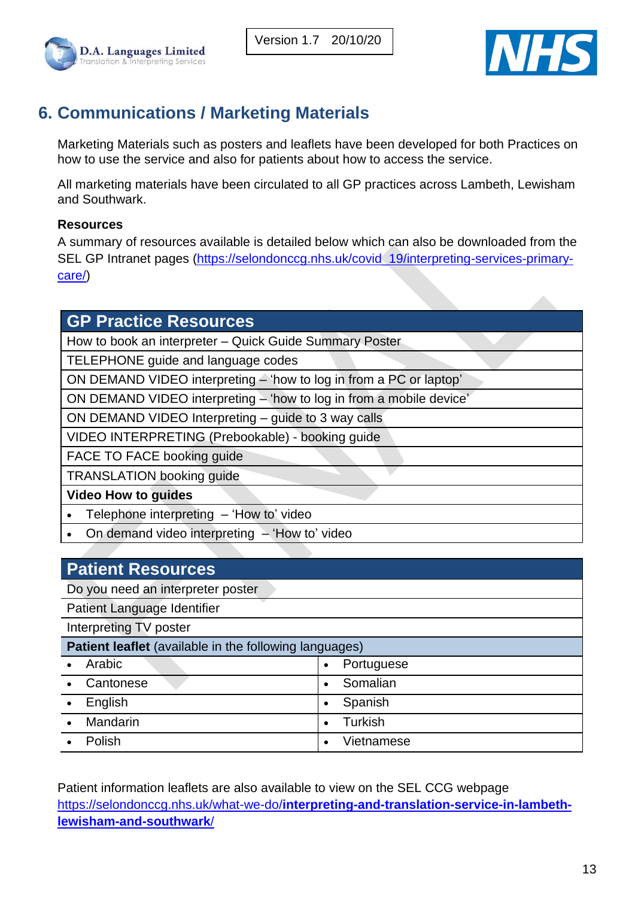





# <span id="page-12-0"></span>**6. Communications / Marketing Materials**

Marketing Materials such as posters and leaflets have been developed for both Practices on how to use the service and also for patients about how to access the service.

All marketing materials have been circulated to all GP practices across Lambeth, Lewisham and Southwark.

#### **Resources**

A summary of resources available is detailed below which can also be downloaded from the SEL GP Intranet pages [\(https://selondonccg.nhs.uk/covid\\_19/interpreting-services-primary](https://selondonccg.nhs.uk/covid_19/interpreting-services-primary-care/)[care/\)](https://selondonccg.nhs.uk/covid_19/interpreting-services-primary-care/)

#### **GP Practice Resources**

How to book an interpreter – Quick Guide Summary Poster

TELEPHONE guide and language codes

ON DEMAND VIDEO interpreting – 'how to log in from a PC or laptop'

ON DEMAND VIDEO interpreting – 'how to log in from a mobile device'

ON DEMAND VIDEO Interpreting – guide to 3 way calls

VIDEO INTERPRETING (Prebookable) - booking guide

FACE TO FACE booking guide

TRANSLATION booking guide

**Video How to guides**

• Telephone interpreting – 'How to' video

• On demand video interpreting – 'How to' video

## **Patient Resources**

Do you need an interpreter poster

Patient Language Identifier

Interpreting TV poster

| <b>Patient leaflet</b> (available in the following languages) |             |           |            |
|---------------------------------------------------------------|-------------|-----------|------------|
|                                                               | • Arabic    | $\bullet$ | Portuguese |
|                                                               | • Cantonese |           | Somalian   |
| $\bullet$                                                     | English     |           | Spanish    |
|                                                               | • Mandarin  |           | Turkish    |
| $\bullet$                                                     | Polish      |           | Vietnamese |

Patient information leaflets are also available to view on the SEL CCG webpage https://selondonccg.nhs.uk/what-we-do/**[interpreting-and-translation-service-in-lambeth](https://selondonccg.nhs.uk/?page_id=3755)[lewisham-and-southwark](https://selondonccg.nhs.uk/?page_id=3755)**/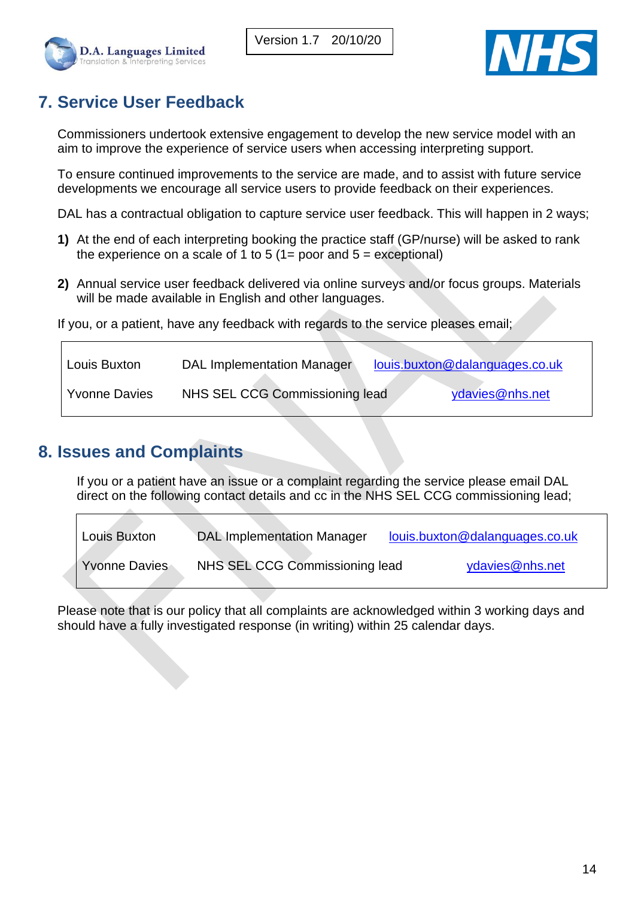



## <span id="page-13-0"></span>**7. Service User Feedback**

Commissioners undertook extensive engagement to develop the new service model with an aim to improve the experience of service users when accessing interpreting support.

To ensure continued improvements to the service are made, and to assist with future service developments we encourage all service users to provide feedback on their experiences.

DAL has a contractual obligation to capture service user feedback. This will happen in 2 ways;

- **1)** At the end of each interpreting booking the practice staff (GP/nurse) will be asked to rank the experience on a scale of 1 to 5 (1= poor and  $5 =$  exceptional)
- **2)** Annual service user feedback delivered via online surveys and/or focus groups. Materials will be made available in English and other languages.

If you, or a patient, have any feedback with regards to the service pleases email;

| Louis Buxton         | <b>DAL Implementation Manager</b> | louis.buxton@dalanguages.co.uk |
|----------------------|-----------------------------------|--------------------------------|
| <b>Yvonne Davies</b> | NHS SEL CCG Commissioning lead    | ydavies@nhs.net                |

## <span id="page-13-1"></span>**8. Issues and Complaints**

If you or a patient have an issue or a complaint regarding the service please email DAL direct on the following contact details and cc in the NHS SEL CCG commissioning lead;

| Louis Buxton  | <b>DAL Implementation Manager</b> | louis.buxton@dalanguages.co.uk |
|---------------|-----------------------------------|--------------------------------|
| Yvonne Davies | NHS SEL CCG Commissioning lead    | ydavies@nhs.net                |

Please note that is our policy that all complaints are acknowledged within 3 working days and should have a fully investigated response (in writing) within 25 calendar days.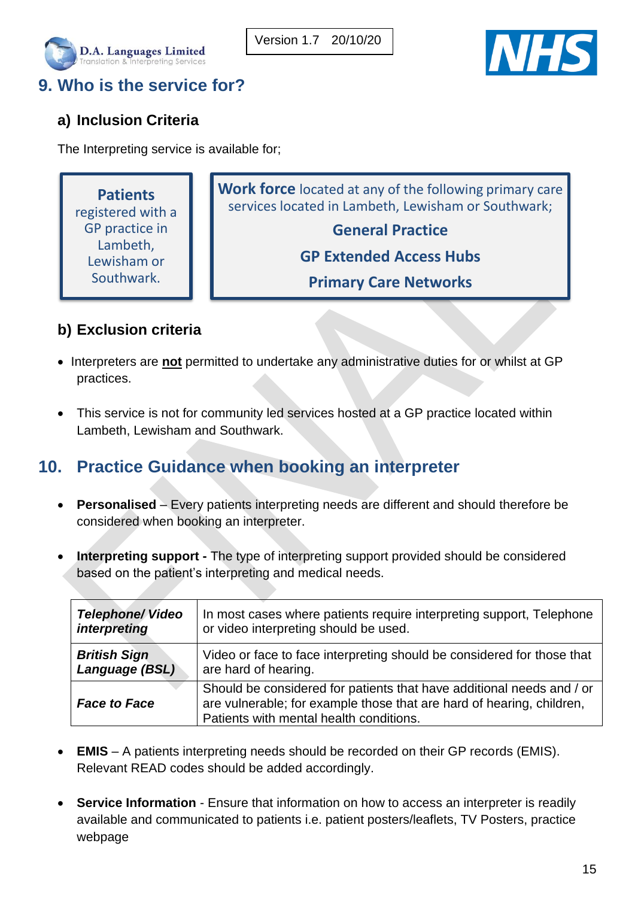



# <span id="page-14-0"></span>**9. Who is the service for?**

#### **a) Inclusion Criteria**

The Interpreting service is available for;

**Patients** registered with a GP practice in Lambeth, Lewisham or Southwark.

**Work force** located at any of the following primary care services located in Lambeth, Lewisham or Southwark;

### **General Practice**

**GP Extended Access Hubs**

**Primary Care Networks**

#### **b) Exclusion criteria**

- Interpreters are **not** permitted to undertake any administrative duties for or whilst at GP practices.
- This service is not for community led services hosted at a GP practice located within Lambeth, Lewisham and Southwark.

## <span id="page-14-1"></span>**10. Practice Guidance when booking an interpreter**

- **Personalised**  Every patients interpreting needs are different and should therefore be considered when booking an interpreter.
- **Interpreting support -** The type of interpreting support provided should be considered based on the patient's interpreting and medical needs.

| <b>Telephone/ Video</b> | In most cases where patients require interpreting support, Telephone                                                                                                                      |
|-------------------------|-------------------------------------------------------------------------------------------------------------------------------------------------------------------------------------------|
| interpreting            | or video interpreting should be used.                                                                                                                                                     |
| <b>British Sign</b>     | Video or face to face interpreting should be considered for those that                                                                                                                    |
| Language (BSL)          | are hard of hearing.                                                                                                                                                                      |
| <b>Face to Face</b>     | Should be considered for patients that have additional needs and / or<br>are vulnerable; for example those that are hard of hearing, children,<br>Patients with mental health conditions. |

- **EMIS** A patients interpreting needs should be recorded on their GP records (EMIS). Relevant READ codes should be added accordingly.
- **Service Information** Ensure that information on how to access an interpreter is readily available and communicated to patients i.e. patient posters/leaflets, TV Posters, practice webpage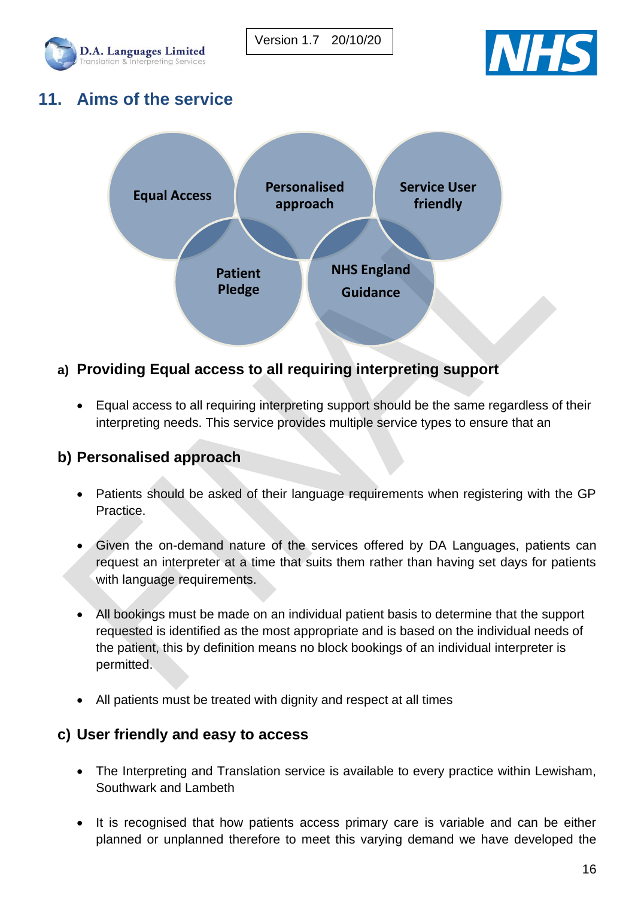



## <span id="page-15-0"></span>**11. Aims of the service**



#### **a) Providing Equal access to all requiring interpreting support**

• Equal access to all requiring interpreting support should be the same regardless of their interpreting needs. This service provides multiple service types to ensure that an

#### **b) Personalised approach**

- Patients should be asked of their language requirements when registering with the GP Practice.
- Given the on-demand nature of the services offered by DA Languages, patients can request an interpreter at a time that suits them rather than having set days for patients with language requirements.
- All bookings must be made on an individual patient basis to determine that the support requested is identified as the most appropriate and is based on the individual needs of the patient, this by definition means no block bookings of an individual interpreter is permitted.
- All patients must be treated with dignity and respect at all times

#### **c) User friendly and easy to access**

- The Interpreting and Translation service is available to every practice within Lewisham, Southwark and Lambeth
- It is recognised that how patients access primary care is variable and can be either planned or unplanned therefore to meet this varying demand we have developed the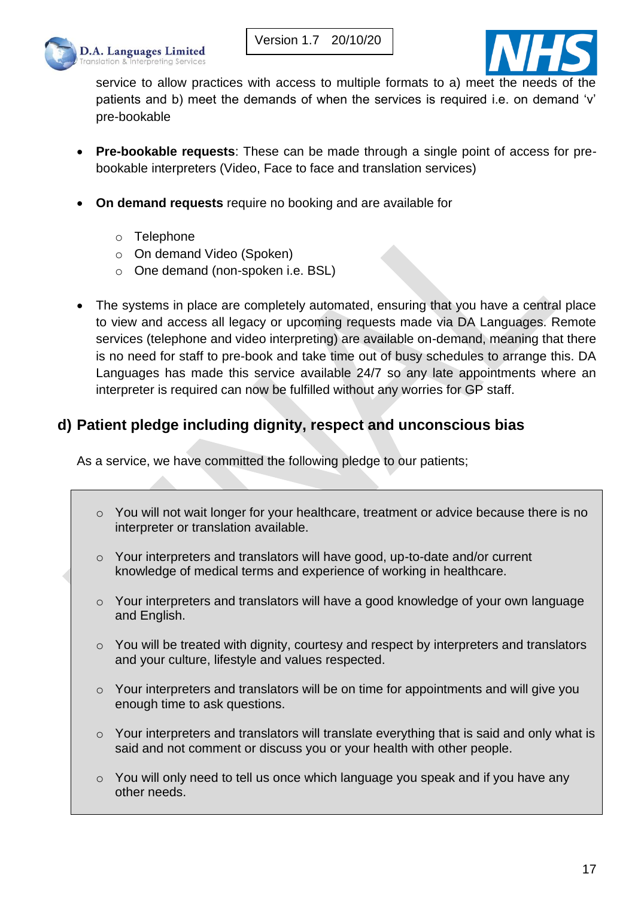



service to allow practices with access to multiple formats to a) meet the needs of the patients and b) meet the demands of when the services is required i.e. on demand 'v' pre-bookable

- **Pre-bookable requests**: These can be made through a single point of access for prebookable interpreters (Video, Face to face and translation services)
- **On demand requests** require no booking and are available for
	- o Telephone
	- o On demand Video (Spoken)
	- o One demand (non-spoken i.e. BSL)
- The systems in place are completely automated, ensuring that you have a central place to view and access all legacy or upcoming requests made via DA Languages. Remote services (telephone and video interpreting) are available on-demand, meaning that there is no need for staff to pre-book and take time out of busy schedules to arrange this. DA Languages has made this service available 24/7 so any late appointments where an interpreter is required can now be fulfilled without any worries for GP staff.

#### **d) Patient pledge including dignity, respect and unconscious bias**

As a service, we have committed the following pledge to our patients;

- o You will not wait longer for your healthcare, treatment or advice because there is no interpreter or translation available.
- $\circ$  Your interpreters and translators will have good, up-to-date and/or current knowledge of medical terms and experience of working in healthcare.
- $\circ$  Your interpreters and translators will have a good knowledge of your own language and English.
- o You will be treated with dignity, courtesy and respect by interpreters and translators and your culture, lifestyle and values respected.
- $\circ$  Your interpreters and translators will be on time for appointments and will give you enough time to ask questions.
- o Your interpreters and translators will translate everything that is said and only what is said and not comment or discuss you or your health with other people.
- $\circ$  You will only need to tell us once which language you speak and if you have any other needs.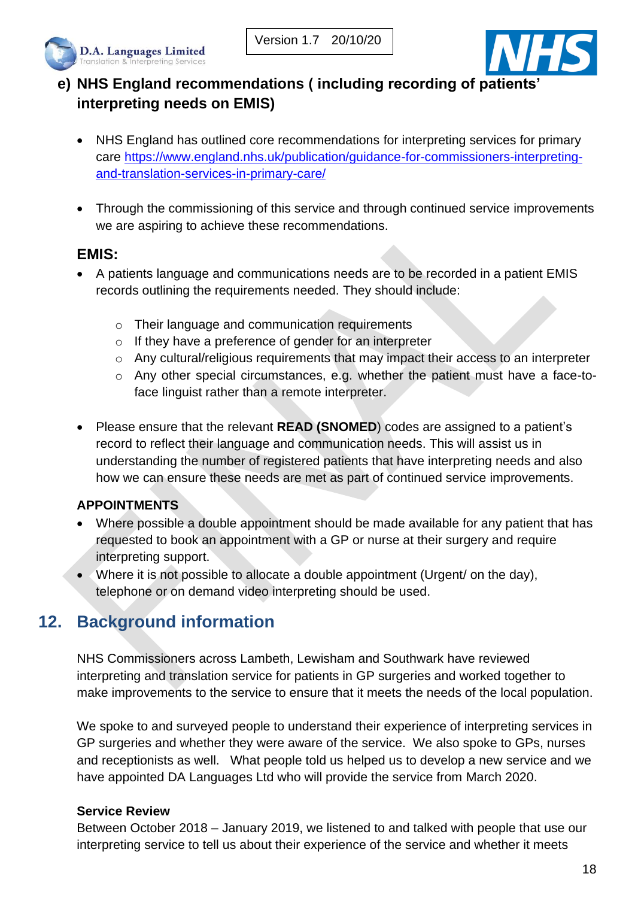



## **e) NHS England recommendations ( including recording of patients' interpreting needs on EMIS)**

- NHS England has outlined core recommendations for interpreting services for primary care [https://www.england.nhs.uk/publication/guidance-for-commissioners-interpreting](https://www.england.nhs.uk/publication/guidance-for-commissioners-interpreting-and-translation-services-in-primary-care/)[and-translation-services-in-primary-care/](https://www.england.nhs.uk/publication/guidance-for-commissioners-interpreting-and-translation-services-in-primary-care/)
- Through the commissioning of this service and through continued service improvements we are aspiring to achieve these recommendations.

#### **EMIS:**

- A patients language and communications needs are to be recorded in a patient EMIS records outlining the requirements needed. They should include:
	- o Their language and communication requirements
	- o If they have a preference of gender for an interpreter
	- $\circ$  Any cultural/religious requirements that may impact their access to an interpreter
	- o Any other special circumstances, e.g. whether the patient must have a face-toface linguist rather than a remote interpreter.
- Please ensure that the relevant **READ (SNOMED**) codes are assigned to a patient's record to reflect their language and communication needs. This will assist us in understanding the number of registered patients that have interpreting needs and also how we can ensure these needs are met as part of continued service improvements.

#### **APPOINTMENTS**

- Where possible a double appointment should be made available for any patient that has requested to book an appointment with a GP or nurse at their surgery and require interpreting support.
- Where it is not possible to allocate a double appointment (Urgent/ on the day), telephone or on demand video interpreting should be used.

# <span id="page-17-0"></span>**12. Background information**

NHS Commissioners across Lambeth, Lewisham and Southwark have reviewed interpreting and translation service for patients in GP surgeries and worked together to make improvements to the service to ensure that it meets the needs of the local population.

We spoke to and surveyed people to understand their experience of interpreting services in GP surgeries and whether they were aware of the service. We also spoke to GPs, nurses and receptionists as well. What people told us helped us to develop a new service and we have appointed DA Languages Ltd who will provide the service from March 2020.

#### **Service Review**

Between October 2018 – January 2019, we listened to and talked with people that use our interpreting service to tell us about their experience of the service and whether it meets